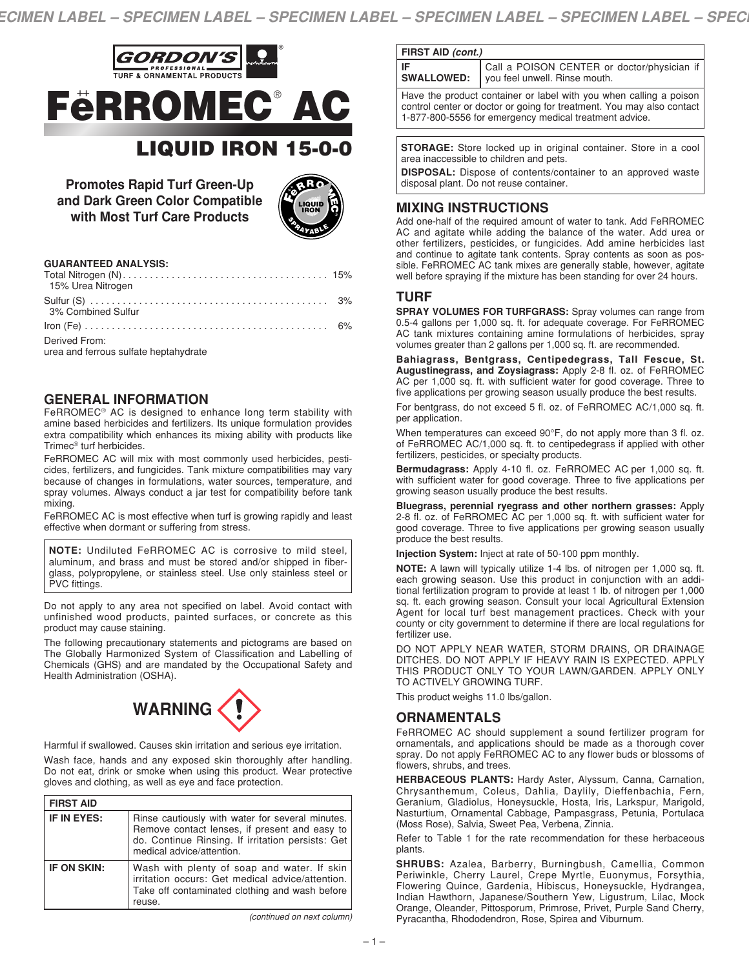



| <b>GUARANTEED ANALYSIS:</b> |  |
|-----------------------------|--|
|                             |  |

| 1010 - 1021 - 1122 - 1232 - 1240 - 1240 - 1240 - 1240 - 1240 - 1240 - 1240 - 1240 - 1240 - 1240 - 12<br>15% Urea Nitrogen |  |
|---------------------------------------------------------------------------------------------------------------------------|--|
|                                                                                                                           |  |
| 3% Combined Sulfur                                                                                                        |  |
|                                                                                                                           |  |
| Derived From:<br>urea and ferrous sulfate heptahydrate                                                                    |  |

# **GENERAL INFORMATION**

FeRROMEC® AC is designed to enhance long term stability with amine based herbicides and fertilizers. Its unique formulation provides extra compatibility which enhances its mixing ability with products like Trimec® turf herbicides.

FeRROMEC AC will mix with most commonly used herbicides, pesticides, fertilizers, and fungicides. Tank mixture compatibilities may vary because of changes in formulations, water sources, temperature, and spray volumes. Always conduct a jar test for compatibility before tank mixing.

FeRROMEC AC is most effective when turf is growing rapidly and least effective when dormant or suffering from stress.

**NOTE:** Undiluted FeRROMEC AC is corrosive to mild steel, aluminum, and brass and must be stored and/or shipped in fiberglass, polypropylene, or stainless steel. Use only stainless steel or PVC fittings.

Do not apply to any area not specified on label. Avoid contact with unfinished wood products, painted surfaces, or concrete as this product may cause staining.

The following precautionary statements and pictograms are based on The Globally Harmonized System of Classification and Labelling of Chemicals (GHS) and are mandated by the Occupational Safety and Health Administration (OSHA).



Harmful if swallowed. Causes skin irritation and serious eye irritation.

Wash face, hands and any exposed skin thoroughly after handling. Do not eat, drink or smoke when using this product. Wear protective gloves and clothing, as well as eye and face protection.

| <b>FIRST AID</b> |                                                                                                                                                                                     |
|------------------|-------------------------------------------------------------------------------------------------------------------------------------------------------------------------------------|
| IF IN EYES:      | Rinse cautiously with water for several minutes.<br>Remove contact lenses, if present and easy to<br>do. Continue Rinsing. If irritation persists: Get<br>medical advice/attention. |
| IF ON SKIN:      | Wash with plenty of soap and water. If skin<br>irritation occurs: Get medical advice/attention.<br>Take off contaminated clothing and wash before<br>reuse.                         |

*<sup>(</sup>continued on next column)*

**FIRST AID** *(cont.)*

**IF SWALLOWED:**  Call a POISON CENTER or doctor/physician if you feel unwell. Rinse mouth.

Have the product container or label with you when calling a poison control center or doctor or going for treatment. You may also contact 1-877-800-5556 for emergency medical treatment advice.

**STORAGE:** Store locked up in original container. Store in a cool area inaccessible to children and pets.

**DISPOSAL:** Dispose of contents/container to an approved waste disposal plant. Do not reuse container.

## **MIXING INSTRUCTIONS**

Add one-half of the required amount of water to tank. Add FeRROMEC AC and agitate while adding the balance of the water. Add urea or other fertilizers, pesticides, or fungicides. Add amine herbicides last and continue to agitate tank contents. Spray contents as soon as possible. FeRROMEC AC tank mixes are generally stable, however, agitate well before spraying if the mixture has been standing for over 24 hours.

### **TURF**

**SPRAY VOLUMES FOR TURFGRASS:** Spray volumes can range from 0.5-4 gallons per 1,000 sq. ft. for adequate coverage. For FeRROMEC AC tank mixtures containing amine formulations of herbicides, spray volumes greater than 2 gallons per 1,000 sq. ft. are recommended.

**Bahiagrass, Bentgrass, Centipedegrass, Tall Fescue, St. Augustinegrass, and Zoysiagrass:** Apply 2-8 fl. oz. of FeRROMEC AC per 1,000 sq. ft. with sufficient water for good coverage. Three to five applications per growing season usually produce the best results.

For bentgrass, do not exceed 5 fl. oz. of FeRROMEC AC/1,000 sq. ft. per application.

When temperatures can exceed 90°F, do not apply more than 3 fl. oz. of FeRROMEC AC/1,000 sq. ft. to centipedegrass if applied with other fertilizers, pesticides, or specialty products.

**Bermudagrass:** Apply 4-10 fl. oz. FeRROMEC AC per 1,000 sq. ft. with sufficient water for good coverage. Three to five applications per growing season usually produce the best results.

**Bluegrass, perennial ryegrass and other northern grasses:** Apply 2-8 fl. oz. of FeRROMEC AC per 1,000 sq. ft. with sufficient water for good coverage. Three to five applications per growing season usually produce the best results.

**Injection System:** Inject at rate of 50-100 ppm monthly.

**NOTE:** A lawn will typically utilize 1-4 lbs. of nitrogen per 1,000 sq. ft. each growing season. Use this product in conjunction with an additional fertilization program to provide at least 1 lb. of nitrogen per 1,000 sq. ft. each growing season. Consult your local Agricultural Extension Agent for local turf best management practices. Check with your county or city government to determine if there are local regulations for fertilizer use.

DO NOT APPLY NEAR WATER, STORM DRAINS, OR DRAINAGE DITCHES. DO NOT APPLY IF HEAVY RAIN IS EXPECTED. APPLY THIS PRODUCT ONLY TO YOUR LAWN/GARDEN. APPLY ONLY TO ACTIVELY GROWING TURF.

This product weighs 11.0 lbs/gallon.

## **ORNAMENTALS**

FeRROMEC AC should supplement a sound fertilizer program for ornamentals, and applications should be made as a thorough cover spray. Do not apply FeRROMEC AC to any flower buds or blossoms of flowers, shrubs, and trees.

**HERBACEOUS PLANTS:** Hardy Aster, Alyssum, Canna, Carnation, Chrysanthemum, Coleus, Dahlia, Daylily, Dieffenbachia, Fern, Geranium, Gladiolus, Honeysuckle, Hosta, Iris, Larkspur, Marigold, Nasturtium, Ornamental Cabbage, Pampasgrass, Petunia, Portulaca (Moss Rose), Salvia, Sweet Pea, Verbena, Zinnia.

Refer to Table 1 for the rate recommendation for these herbaceous plants.

**SHRUBS:** Azalea, Barberry, Burningbush, Camellia, Common Periwinkle, Cherry Laurel, Crepe Myrtle, Euonymus, Forsythia, Flowering Quince, Gardenia, Hibiscus, Honeysuckle, Hydrangea, Indian Hawthorn, Japanese/Southern Yew, Ligustrum, Lilac, Mock Orange, Oleander, Pittosporum, Primrose, Privet, Purple Sand Cherry, Pyracantha, Rhododendron, Rose, Spirea and Viburnum.